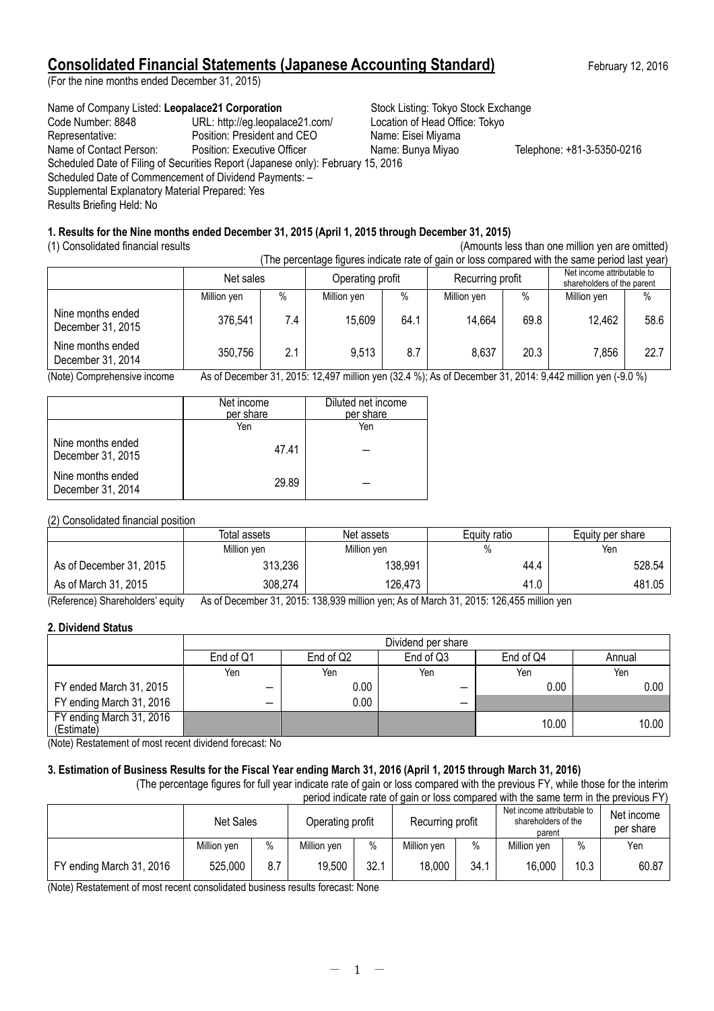# **Consolidated Financial Statements (Japanese Accounting Standard)** February 12, 2016

(For the nine months ended December 31, 2015)

# Name of Company Listed: Leopalace21 Corporation **Stock Listing: Tokyo Stock Exchange**

Code Number: 8848 URL: http://eg.leopalace21.com/ Location of Head Office: Tokyo Representative: Position: President and CEO Name: Eisei Miyama<br>
Name of Contact Person: Position: Executive Officer Name: Bunya Miyao Name of Contact Person: Position: Executive Officer Name: Bunya Miyao Telephone: +81-3-5350-0216 Scheduled Date of Filing of Securities Report (Japanese only): February 15, 2016 Scheduled Date of Commencement of Dividend Payments: -Supplemental Explanatory Material Prepared: Yes Results Briefing Held: No

# **1. Results for the Nine months ended December 31, 2015 (April 1, 2015 through December 31, 2015)**

(1) Consolidated financial results (Amounts less than one million yen are omitted) (

|                                        | The percentage inquires indicate rate or gain or loss compared with the same period last year) |      |                  |      |                  |      |                                                          |      |  |
|----------------------------------------|------------------------------------------------------------------------------------------------|------|------------------|------|------------------|------|----------------------------------------------------------|------|--|
|                                        | Net sales                                                                                      |      | Operating profit |      | Recurring profit |      | Net income attributable to<br>shareholders of the parent |      |  |
|                                        | Million yen                                                                                    | $\%$ | Million yen      | $\%$ | Million yen      | $\%$ | Million yen                                              | $\%$ |  |
| Nine months ended<br>December 31, 2015 | 376,541                                                                                        | 7.4  | 15,609           | 64.1 | 14,664           | 69.8 | 12,462                                                   | 58.6 |  |
| Nine months ended<br>December 31, 2014 | 350,756                                                                                        | 2.1  | 9,513            | 8.7  | 8,637            | 20.3 | 7,856                                                    | 22.7 |  |

(Note) Comprehensive income As of December 31, 2015: 12,497 million yen (32.4 %); As of December 31, 2014: 9,442 million yen (-9.0 %)

|                                        | Net income<br>per share | Diluted net income<br>per share |
|----------------------------------------|-------------------------|---------------------------------|
|                                        | Yen                     | Yen                             |
| Nine months ended<br>December 31, 2015 | 47.41                   |                                 |
| Nine months ended<br>December 31, 2014 | 29.89                   |                                 |

# (2) Consolidated financial position

|                         | Total assets | Net assets  | Equity ratio | Equity per share |  |
|-------------------------|--------------|-------------|--------------|------------------|--|
|                         | Million yen  | Million yen | %            | Yen              |  |
| As of December 31, 2015 | 313,236      | 138,991     | 44.4         | 528.54           |  |
| As of March 31, 2015    | 308,274      | 126,473     | 41.0         | 481.05           |  |

(Reference) Shareholders' equity As of December 31, 2015: 138,939 million yen; As of March 31, 2015: 126,455 million yen

# **2. Dividend Status**

|                                        | Dividend per share |           |           |           |        |  |
|----------------------------------------|--------------------|-----------|-----------|-----------|--------|--|
|                                        | End of Q1          | End of Q2 | End of Q3 | End of Q4 | Annual |  |
|                                        | Yen                | Yen       | Yen       | Yen       | Yen    |  |
| FY ended March 31, 2015                | -                  | 0.00      |           | 0.00      | 0.00   |  |
| FY ending March 31, 2016               | –                  | 0.00      | –         |           |        |  |
| FY ending March 31, 2016<br>(Estimate) |                    |           |           | 10.00     | 10.00  |  |

(Note) Restatement of most recent dividend forecast: No

# **3. Estimation of Business Results for the Fiscal Year ending March 31, 2016 (April 1, 2015 through March 31, 2016)**

(The percentage figures for full year indicate rate of gain or loss compared with the previous FY, while those for the interim period indicate rate of gain or loss compared with the same term in the previous FY)

|                          | Net Sales   |      | Operating profit |      | Recurring profit |      | Net income attributable to<br>shareholders of the<br>parent |      | Net income<br>per share |
|--------------------------|-------------|------|------------------|------|------------------|------|-------------------------------------------------------------|------|-------------------------|
|                          | Million ven | $\%$ | Million ven      | $\%$ | Million ven      | $\%$ | Million yen                                                 | $\%$ | Yen                     |
| FY ending March 31, 2016 | 525,000     | 8.7  | 19,500           | 32.1 | 18,000           | 34.1 | 16,000                                                      | 10.3 | 60.87                   |

(Note) Restatement of most recent consolidated business results forecast: None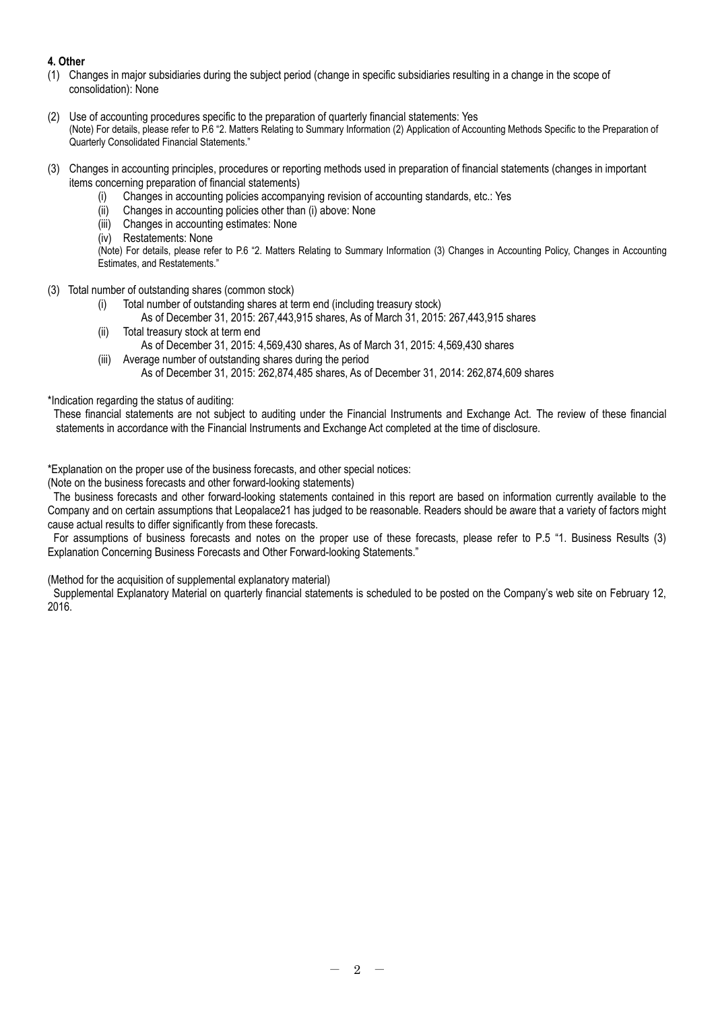# **4. Other**

- (1) Changes in major subsidiaries during the subject period (change in specific subsidiaries resulting in a change in the scope of consolidation): None
- (2) Use of accounting procedures specific to the preparation of quarterly financial statements: Yes (Note) For details, please refer to P.6 "2. Matters Relating to Summary Information (2) Application of Accounting Methods Specific to the Preparation of Quarterly Consolidated Financial Statements."
- (3) Changes in accounting principles, procedures or reporting methods used in preparation of financial statements (changes in important items concerning preparation of financial statements)
	- (i) Changes in accounting policies accompanying revision of accounting standards, etc.: Yes
	- (ii) Changes in accounting policies other than (i) above: None
	- (iii) Changes in accounting estimates: None
	- (iv) Restatements: None

(Note) For details, please refer to P.6 "2. Matters Relating to Summary Information (3) Changes in Accounting Policy, Changes in Accounting Estimates, and Restatements."

- (3) Total number of outstanding shares (common stock)
	- (i) Total number of outstanding shares at term end (including treasury stock)
		- As of December 31, 2015: 267,443,915 shares, As of March 31, 2015: 267,443,915 shares
	- (ii) Total treasury stock at term end
		- As of December 31, 2015: 4,569,430 shares, As of March 31, 2015: 4,569,430 shares
	- (iii) Average number of outstanding shares during the period
		- As of December 31, 2015: 262,874,485 shares, As of December 31, 2014: 262,874,609 shares

\*Indication regarding the status of auditing:

These financial statements are not subject to auditing under the Financial Instruments and Exchange Act. The review of these financial statements in accordance with the Financial Instruments and Exchange Act completed at the time of disclosure.

\*Explanation on the proper use of the business forecasts, and other special notices:

(Note on the business forecasts and other forward-looking statements)

The business forecasts and other forward-looking statements contained in this report are based on information currently available to the Company and on certain assumptions that Leopalace21 has judged to be reasonable. Readers should be aware that a variety of factors might cause actual results to differ significantly from these forecasts.

For assumptions of business forecasts and notes on the proper use of these forecasts, please refer to P.5 "1. Business Results (3) Explanation Concerning Business Forecasts and Other Forward-looking Statements."

(Method for the acquisition of supplemental explanatory material)

Supplemental Explanatory Material on quarterly financial statements is scheduled to be posted on the Company's web site on February 12, 2016.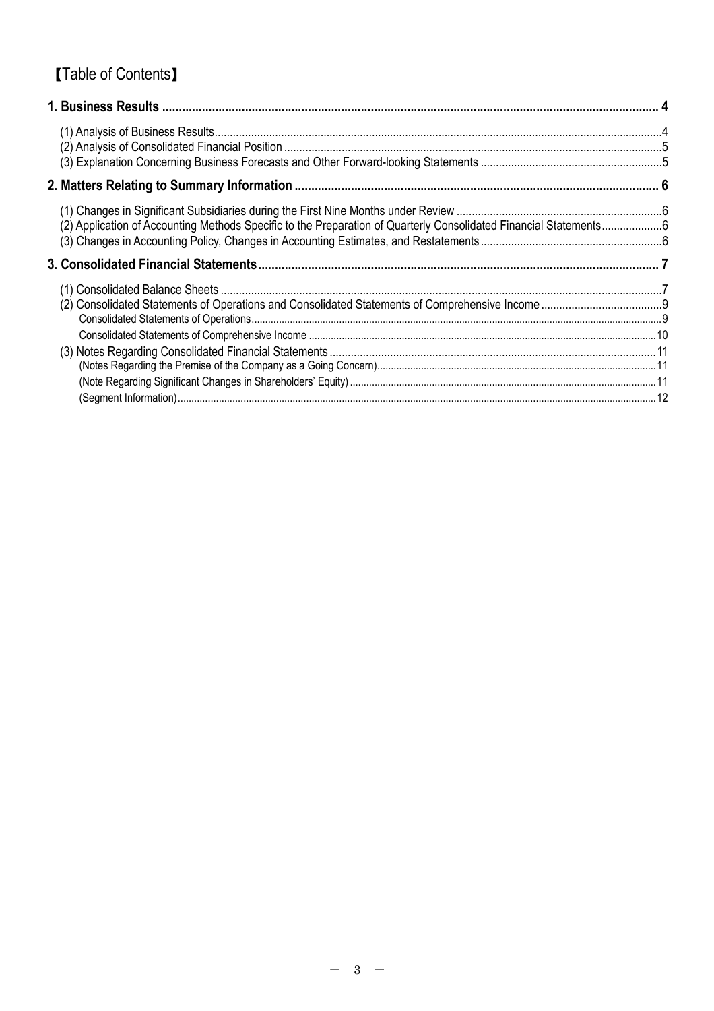# 【Table of Contents】

| (2) Application of Accounting Methods Specific to the Preparation of Quarterly Consolidated Financial Statements6 |  |
|-------------------------------------------------------------------------------------------------------------------|--|
|                                                                                                                   |  |
|                                                                                                                   |  |
|                                                                                                                   |  |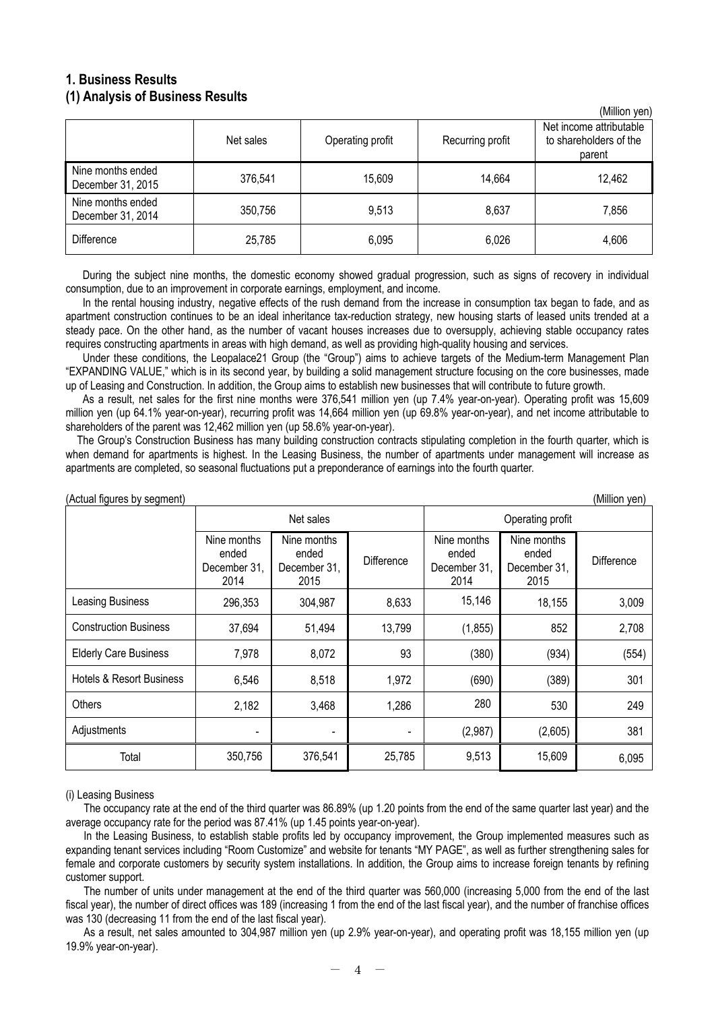# **1. Business Results (1) Analysis of Business Results**

|                                        |           |                  |                  | וויוסע וועווווען)                                           |
|----------------------------------------|-----------|------------------|------------------|-------------------------------------------------------------|
|                                        | Net sales | Operating profit | Recurring profit | Net income attributable<br>to shareholders of the<br>parent |
| Nine months ended<br>December 31, 2015 | 376,541   | 15,609           | 14,664           | 12,462                                                      |
| Nine months ended<br>December 31, 2014 | 350,756   | 9,513            | 8,637            | 7,856                                                       |
| <b>Difference</b>                      | 25,785    | 6,095            | 6,026            | 4,606                                                       |

 $(Million$  yon)

During the subject nine months, the domestic economy showed gradual progression, such as signs of recovery in individual consumption, due to an improvement in corporate earnings, employment, and income.

In the rental housing industry, negative effects of the rush demand from the increase in consumption tax began to fade, and as apartment construction continues to be an ideal inheritance tax-reduction strategy, new housing starts of leased units trended at a steady pace. On the other hand, as the number of vacant houses increases due to oversupply, achieving stable occupancy rates requires constructing apartments in areas with high demand, as well as providing high-quality housing and services.

Under these conditions, the Leopalace21 Group (the "Group") aims to achieve targets of the Medium-term Management Plan "EXPANDING VALUE," which is in its second year, by building a solid management structure focusing on the core businesses, made up of Leasing and Construction. In addition, the Group aims to establish new businesses that will contribute to future growth.

As a result, net sales for the first nine months were 376,541 million yen (up 7.4% year-on-year). Operating profit was 15,609 million yen (up 64.1% year-on-year), recurring profit was 14,664 million yen (up 69.8% year-on-year), and net income attributable to shareholders of the parent was 12,462 million yen (up 58.6% year-on-year).

The Group's Construction Business has many building construction contracts stipulating completion in the fourth quarter, which is when demand for apartments is highest. In the Leasing Business, the number of apartments under management will increase as apartments are completed, so seasonal fluctuations put a preponderance of earnings into the fourth quarter.

| (Million yen)<br>(Actual figures by segment) |                                              |                                              |                   |                                              |                                              |            |  |
|----------------------------------------------|----------------------------------------------|----------------------------------------------|-------------------|----------------------------------------------|----------------------------------------------|------------|--|
|                                              |                                              | Net sales                                    |                   |                                              | Operating profit                             |            |  |
|                                              | Nine months<br>ended<br>December 31,<br>2014 | Nine months<br>ended<br>December 31,<br>2015 | <b>Difference</b> | Nine months<br>ended<br>December 31,<br>2014 | Nine months<br>ended<br>December 31,<br>2015 | Difference |  |
| Leasing Business                             | 296,353                                      | 304,987                                      | 8,633             | 15,146                                       | 18,155                                       | 3,009      |  |
| <b>Construction Business</b>                 | 37,694                                       | 51,494                                       | 13,799            | (1, 855)                                     | 852                                          | 2,708      |  |
| <b>Elderly Care Business</b>                 | 7,978                                        | 8,072                                        | 93                | (380)                                        | (934)                                        | (554)      |  |
| <b>Hotels &amp; Resort Business</b>          | 6,546                                        | 8,518                                        | 1,972             | (690)                                        | (389)                                        | 301        |  |
| Others                                       | 2,182                                        | 3,468                                        | 1,286             | 280                                          | 530                                          | 249        |  |
| Adjustments                                  | $\blacksquare$                               |                                              |                   | (2,987)                                      | (2,605)                                      | 381        |  |
| Total                                        | 350,756                                      | 376,541                                      | 25,785            | 9,513                                        | 15,609                                       | 6,095      |  |

#### (i) Leasing Business

The occupancy rate at the end of the third quarter was 86.89% (up 1.20 points from the end of the same quarter last year) and the average occupancy rate for the period was 87.41% (up 1.45 points year-on-year).

In the Leasing Business, to establish stable profits led by occupancy improvement, the Group implemented measures such as expanding tenant services including "Room Customize" and website for tenants "MY PAGE", as well as further strengthening sales for female and corporate customers by security system installations. In addition, the Group aims to increase foreign tenants by refining customer support.

The number of units under management at the end of the third quarter was 560,000 (increasing 5,000 from the end of the last fiscal year), the number of direct offices was 189 (increasing 1 from the end of the last fiscal year), and the number of franchise offices was 130 (decreasing 11 from the end of the last fiscal year).

As a result, net sales amounted to 304,987 million yen (up 2.9% year-on-year), and operating profit was 18,155 million yen (up 19.9% year-on-year).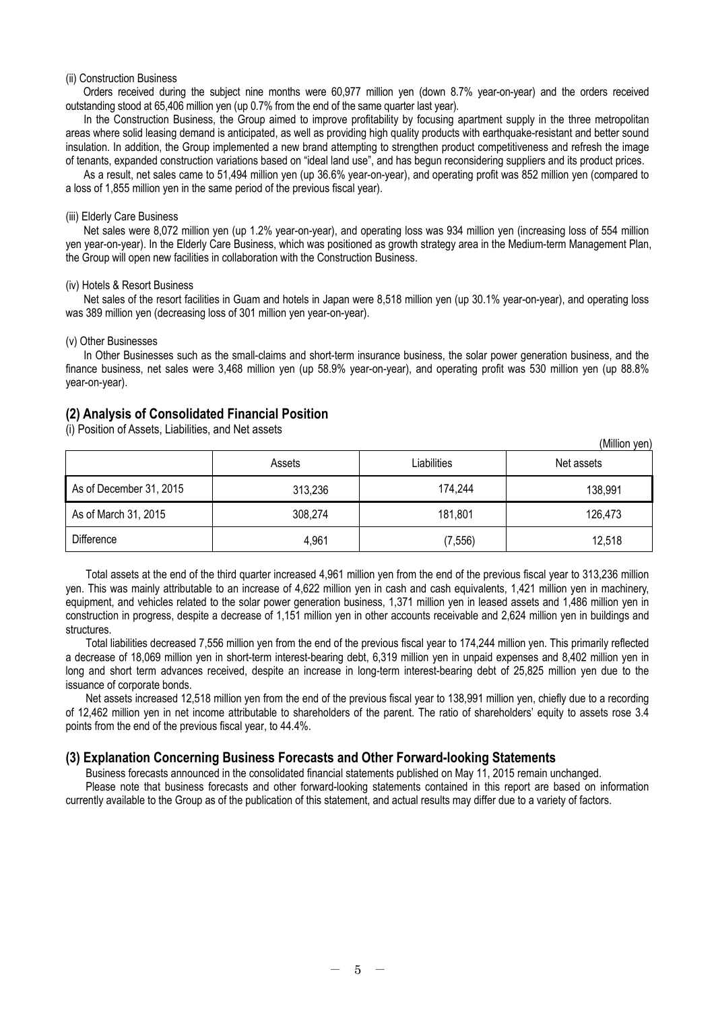#### (ii) Construction Business

Orders received during the subject nine months were 60,977 million yen (down 8.7% year-on-year) and the orders received outstanding stood at 65,406 million yen (up 0.7% from the end of the same quarter last year).

In the Construction Business, the Group aimed to improve profitability by focusing apartment supply in the three metropolitan areas where solid leasing demand is anticipated, as well as providing high quality products with earthquake-resistant and better sound insulation. In addition, the Group implemented a new brand attempting to strengthen product competitiveness and refresh the image of tenants, expanded construction variations based on "ideal land use", and has begun reconsidering suppliers and its product prices.

As a result, net sales came to 51,494 million yen (up 36.6% year-on-year), and operating profit was 852 million yen (compared to a loss of 1,855 million yen in the same period of the previous fiscal year).

#### (iii) Elderly Care Business

Net sales were 8,072 million yen (up 1.2% year-on-year), and operating loss was 934 million yen (increasing loss of 554 million yen year-on-year). In the Elderly Care Business, which was positioned as growth strategy area in the Medium-term Management Plan, the Group will open new facilities in collaboration with the Construction Business.

#### (iv) Hotels & Resort Business

Net sales of the resort facilities in Guam and hotels in Japan were 8,518 million yen (up 30.1% year-on-year), and operating loss was 389 million yen (decreasing loss of 301 million yen year-on-year).

#### (v) Other Businesses

In Other Businesses such as the small-claims and short-term insurance business, the solar power generation business, and the finance business, net sales were 3,468 million yen (up 58.9% year-on-year), and operating profit was 530 million yen (up 88.8% year-on-year).

### **(2) Analysis of Consolidated Financial Position**

(i) Position of Assets, Liabilities, and Net assets

|                         |         |             | (Million yen) |
|-------------------------|---------|-------------|---------------|
|                         | Assets  | Liabilities | Net assets    |
| As of December 31, 2015 | 313,236 | 174,244     | 138,991       |
| As of March 31, 2015    | 308,274 | 181,801     | 126,473       |
| Difference              | 4,961   | (7, 556)    | 12,518        |

Total assets at the end of the third quarter increased 4,961 million yen from the end of the previous fiscal year to 313,236 million yen. This was mainly attributable to an increase of 4,622 million yen in cash and cash equivalents, 1,421 million yen in machinery, equipment, and vehicles related to the solar power generation business, 1,371 million yen in leased assets and 1,486 million yen in construction in progress, despite a decrease of 1,151 million yen in other accounts receivable and 2,624 million yen in buildings and structures.

Total liabilities decreased 7,556 million yen from the end of the previous fiscal year to 174,244 million yen. This primarily reflected a decrease of 18,069 million yen in short-term interest-bearing debt, 6,319 million yen in unpaid expenses and 8,402 million yen in long and short term advances received, despite an increase in long-term interest-bearing debt of 25,825 million yen due to the issuance of corporate bonds.

Net assets increased 12,518 million yen from the end of the previous fiscal year to 138,991 million yen, chiefly due to a recording of 12,462 million yen in net income attributable to shareholders of the parent. The ratio of shareholders' equity to assets rose 3.4 points from the end of the previous fiscal year, to 44.4%.

### **(3) Explanation Concerning Business Forecasts and Other Forward-looking Statements**

Business forecasts announced in the consolidated financial statements published on May 11, 2015 remain unchanged. Please note that business forecasts and other forward-looking statements contained in this report are based on information currently available to the Group as of the publication of this statement, and actual results may differ due to a variety of factors.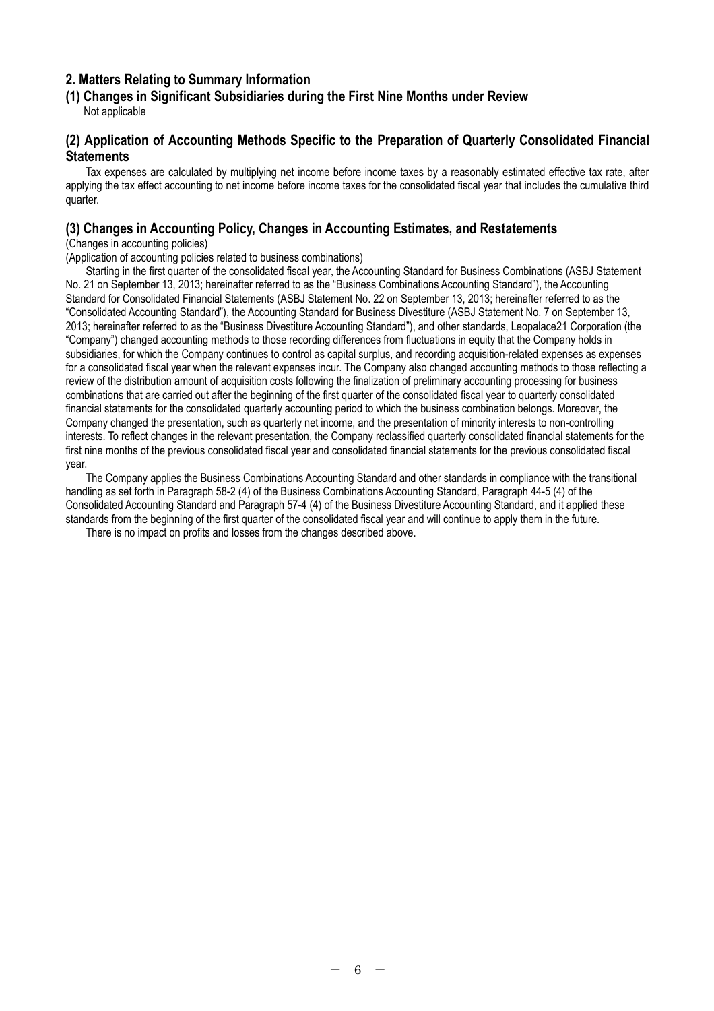# **2. Matters Relating to Summary Information**

# **(1) Changes in Significant Subsidiaries during the First Nine Months under Review**

Not applicable

# **(2) Application of Accounting Methods Specific to the Preparation of Quarterly Consolidated Financial Statements**

Tax expenses are calculated by multiplying net income before income taxes by a reasonably estimated effective tax rate, after applying the tax effect accounting to net income before income taxes for the consolidated fiscal year that includes the cumulative third quarter.

# **(3) Changes in Accounting Policy, Changes in Accounting Estimates, and Restatements**

(Changes in accounting policies)

(Application of accounting policies related to business combinations)

Starting in the first quarter of the consolidated fiscal year, the Accounting Standard for Business Combinations (ASBJ Statement No. 21 on September 13, 2013; hereinafter referred to as the "Business Combinations Accounting Standard"), the Accounting Standard for Consolidated Financial Statements (ASBJ Statement No. 22 on September 13, 2013; hereinafter referred to as the "Consolidated Accounting Standard"), the Accounting Standard for Business Divestiture (ASBJ Statement No. 7 on September 13, 2013; hereinafter referred to as the "Business Divestiture Accounting Standard"), and other standards, Leopalace21 Corporation (the "Company") changed accounting methods to those recording differences from fluctuations in equity that the Company holds in subsidiaries, for which the Company continues to control as capital surplus, and recording acquisition-related expenses as expenses for a consolidated fiscal year when the relevant expenses incur. The Company also changed accounting methods to those reflecting a review of the distribution amount of acquisition costs following the finalization of preliminary accounting processing for business combinations that are carried out after the beginning of the first quarter of the consolidated fiscal year to quarterly consolidated financial statements for the consolidated quarterly accounting period to which the business combination belongs. Moreover, the Company changed the presentation, such as quarterly net income, and the presentation of minority interests to non-controlling interests. To reflect changes in the relevant presentation, the Company reclassified quarterly consolidated financial statements for the first nine months of the previous consolidated fiscal year and consolidated financial statements for the previous consolidated fiscal year.

The Company applies the Business Combinations Accounting Standard and other standards in compliance with the transitional handling as set forth in Paragraph 58-2 (4) of the Business Combinations Accounting Standard, Paragraph 44-5 (4) of the Consolidated Accounting Standard and Paragraph 57-4 (4) of the Business Divestiture Accounting Standard, and it applied these standards from the beginning of the first quarter of the consolidated fiscal year and will continue to apply them in the future.

There is no impact on profits and losses from the changes described above.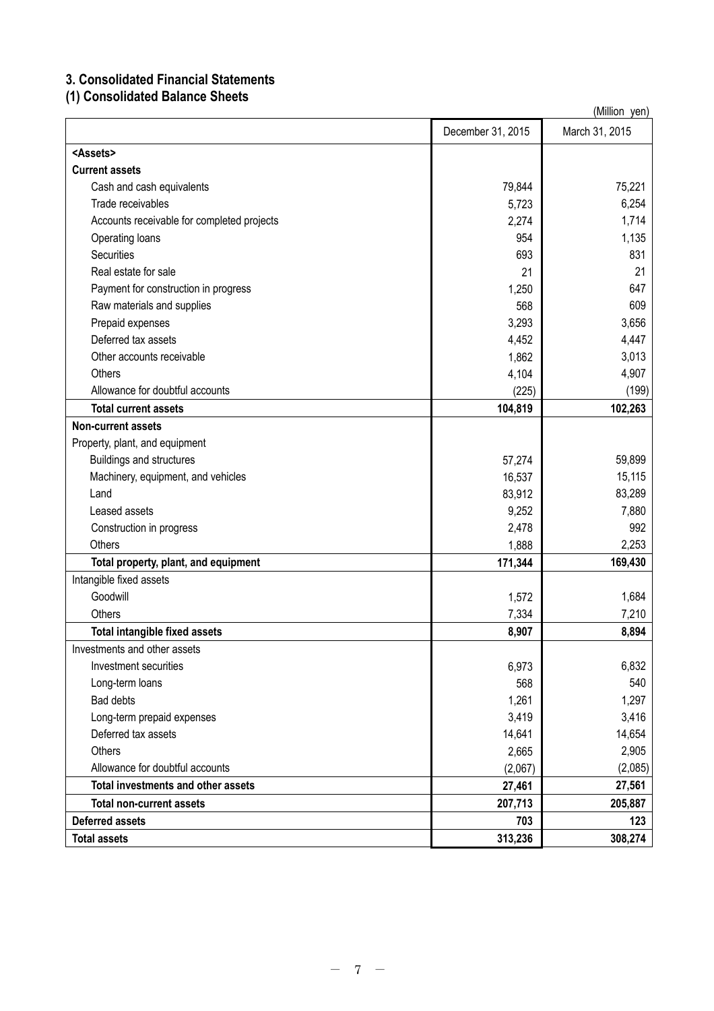# **3. Consolidated Financial Statements**

**(1) Consolidated Balance Sheets**

| (Million yen)                              |                   |                |  |  |
|--------------------------------------------|-------------------|----------------|--|--|
|                                            | December 31, 2015 | March 31, 2015 |  |  |
| <assets></assets>                          |                   |                |  |  |
| <b>Current assets</b>                      |                   |                |  |  |
| Cash and cash equivalents                  | 79,844            | 75,221         |  |  |
| Trade receivables                          | 5,723             | 6,254          |  |  |
| Accounts receivable for completed projects | 2,274             | 1,714          |  |  |
| Operating loans                            | 954               | 1,135          |  |  |
| <b>Securities</b>                          | 693               | 831            |  |  |
| Real estate for sale                       | 21                | 21             |  |  |
| Payment for construction in progress       | 1,250             | 647            |  |  |
| Raw materials and supplies                 | 568               | 609            |  |  |
| Prepaid expenses                           | 3,293             | 3,656          |  |  |
| Deferred tax assets                        | 4,452             | 4,447          |  |  |
| Other accounts receivable                  | 1,862             | 3,013          |  |  |
| Others                                     | 4,104             | 4,907          |  |  |
| Allowance for doubtful accounts            | (225)             | (199)          |  |  |
| <b>Total current assets</b>                | 104,819           | 102,263        |  |  |
| <b>Non-current assets</b>                  |                   |                |  |  |
| Property, plant, and equipment             |                   |                |  |  |
| <b>Buildings and structures</b>            | 57,274            | 59,899         |  |  |
| Machinery, equipment, and vehicles         | 16,537            | 15,115         |  |  |
| Land                                       | 83,912            | 83,289         |  |  |
| Leased assets                              | 9,252             | 7,880          |  |  |
| Construction in progress                   | 2,478             | 992            |  |  |
| Others                                     | 1,888             | 2,253          |  |  |
| Total property, plant, and equipment       | 171,344           | 169,430        |  |  |
| Intangible fixed assets                    |                   |                |  |  |
| Goodwill                                   | 1,572             | 1,684          |  |  |
| Others                                     | 7,334             | 7,210          |  |  |
| <b>Total intangible fixed assets</b>       | 8,907             | 8,894          |  |  |
| Investments and other assets               |                   |                |  |  |
| Investment securities                      | 6,973             | 6,832          |  |  |
| Long-term loans                            | 568               | 540            |  |  |
| <b>Bad debts</b>                           | 1,261             | 1,297          |  |  |
| Long-term prepaid expenses                 | 3,419             | 3,416          |  |  |
| Deferred tax assets                        | 14,641            | 14,654         |  |  |
| Others                                     | 2,665             | 2,905          |  |  |
| Allowance for doubtful accounts            | (2,067)           | (2,085)        |  |  |
| Total investments and other assets         | 27,461            | 27,561         |  |  |
| <b>Total non-current assets</b>            | 207,713           | 205,887        |  |  |
| <b>Deferred assets</b>                     | 703               | 123            |  |  |
| <b>Total assets</b>                        | 313,236           | 308,274        |  |  |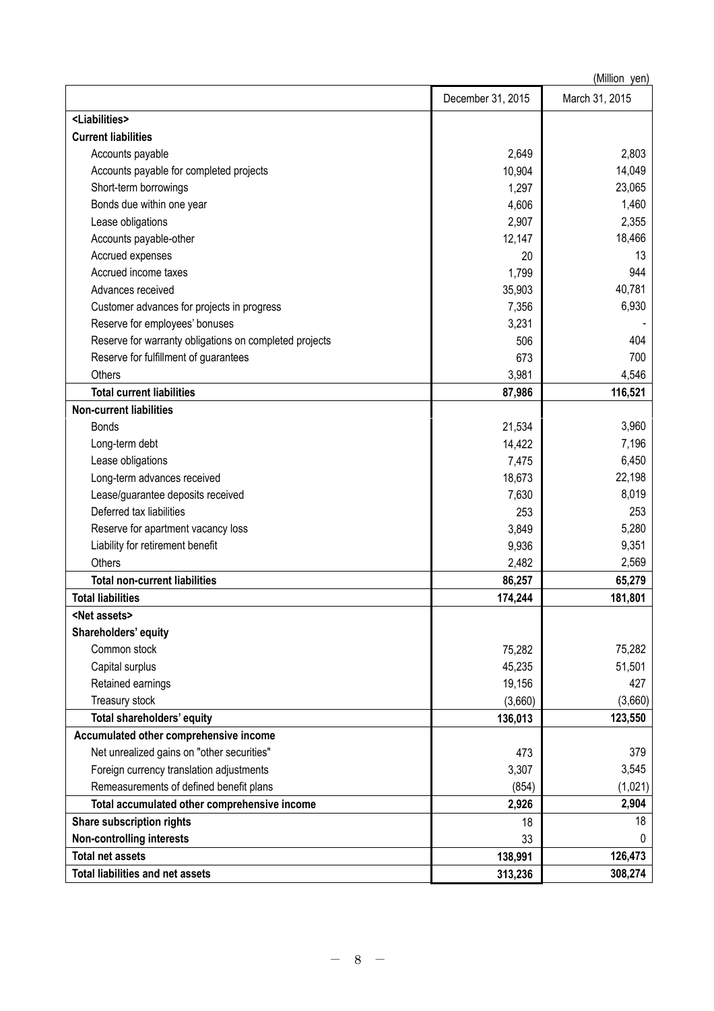|                                                        |                   | (Million yen)  |
|--------------------------------------------------------|-------------------|----------------|
|                                                        | December 31, 2015 | March 31, 2015 |
| <liabilities></liabilities>                            |                   |                |
| <b>Current liabilities</b>                             |                   |                |
| Accounts payable                                       | 2,649             | 2,803          |
| Accounts payable for completed projects                | 10,904            | 14,049         |
| Short-term borrowings                                  | 1,297             | 23,065         |
| Bonds due within one year                              | 4,606             | 1,460          |
| Lease obligations                                      | 2,907             | 2,355          |
| Accounts payable-other                                 | 12,147            | 18,466         |
| Accrued expenses                                       | 20                | 13             |
| Accrued income taxes                                   | 1,799             | 944            |
| Advances received                                      | 35,903            | 40,781         |
| Customer advances for projects in progress             | 7,356             | 6,930          |
| Reserve for employees' bonuses                         | 3,231             |                |
| Reserve for warranty obligations on completed projects | 506               | 404            |
| Reserve for fulfillment of guarantees                  | 673               | 700            |
| Others                                                 | 3,981             | 4,546          |
| <b>Total current liabilities</b>                       | 87,986            | 116,521        |
| <b>Non-current liabilities</b>                         |                   |                |
| <b>Bonds</b>                                           | 21,534            | 3,960          |
| Long-term debt                                         | 14,422            | 7,196          |
| Lease obligations                                      | 7,475             | 6,450          |
| Long-term advances received                            | 18,673            | 22,198         |
| Lease/guarantee deposits received                      | 7,630             | 8,019          |
| Deferred tax liabilities                               | 253               | 253            |
| Reserve for apartment vacancy loss                     | 3,849             | 5,280          |
| Liability for retirement benefit                       | 9,936             | 9,351          |
| Others                                                 | 2,482             | 2,569          |
| <b>Total non-current liabilities</b>                   | 86,257            | 65,279         |
| <b>Total liabilities</b>                               | 174,244           | 181,801        |
| <net assets=""></net>                                  |                   |                |
| Shareholders' equity                                   |                   |                |
| Common stock                                           | 75,282            | 75,282         |
| Capital surplus                                        | 45,235            | 51,501         |
| Retained earnings                                      | 19,156            | 427            |
| Treasury stock                                         | (3,660)           | (3,660)        |
| Total shareholders' equity                             | 136,013           | 123,550        |
| Accumulated other comprehensive income                 |                   |                |
| Net unrealized gains on "other securities"             | 473               | 379            |
| Foreign currency translation adjustments               | 3,307             | 3,545          |
| Remeasurements of defined benefit plans                | (854)             | (1,021)        |
| Total accumulated other comprehensive income           | 2,926             | 2,904          |
| <b>Share subscription rights</b>                       | 18                | 18             |
| <b>Non-controlling interests</b>                       | 33                | 0              |
| <b>Total net assets</b>                                | 138,991           | 126,473        |
| <b>Total liabilities and net assets</b>                | 313,236           | 308,274        |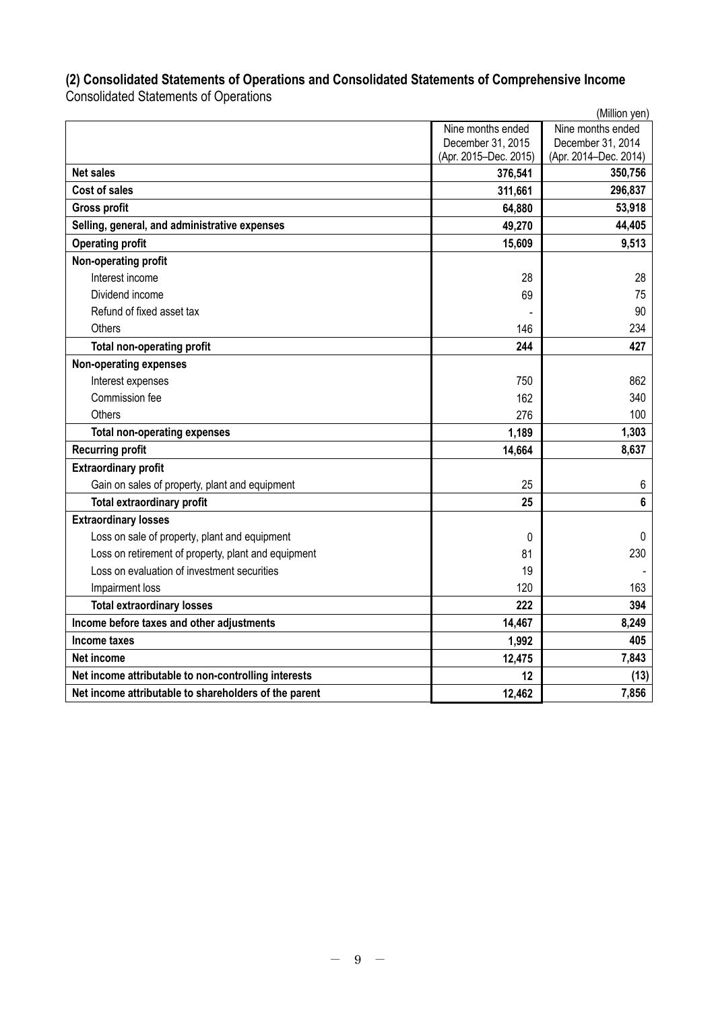# **(2) Consolidated Statements of Operations and Consolidated Statements of Comprehensive Income** Consolidated Statements of Operations

|                                                       |                       | (Million yen)         |
|-------------------------------------------------------|-----------------------|-----------------------|
|                                                       | Nine months ended     | Nine months ended     |
|                                                       | December 31, 2015     | December 31, 2014     |
|                                                       | (Apr. 2015-Dec. 2015) | (Apr. 2014-Dec. 2014) |
| <b>Net sales</b>                                      | 376,541               | 350,756               |
| <b>Cost of sales</b>                                  | 311,661               | 296,837               |
| <b>Gross profit</b>                                   | 64,880                | 53,918                |
| Selling, general, and administrative expenses         | 49,270                | 44,405                |
| <b>Operating profit</b>                               | 15,609                | 9,513                 |
| Non-operating profit                                  |                       |                       |
| Interest income                                       | 28                    | 28                    |
| Dividend income                                       | 69                    | 75                    |
| Refund of fixed asset tax                             |                       | 90                    |
| Others                                                | 146                   | 234                   |
| <b>Total non-operating profit</b>                     | 244                   | 427                   |
| <b>Non-operating expenses</b>                         |                       |                       |
| Interest expenses                                     | 750                   | 862                   |
| Commission fee                                        | 162                   | 340                   |
| <b>Others</b>                                         | 276                   | 100                   |
| <b>Total non-operating expenses</b>                   | 1,189                 | 1,303                 |
| <b>Recurring profit</b>                               | 14,664                | 8,637                 |
| <b>Extraordinary profit</b>                           |                       |                       |
| Gain on sales of property, plant and equipment        | 25                    | 6                     |
| <b>Total extraordinary profit</b>                     | 25                    | $6\phantom{1}$        |
| <b>Extraordinary losses</b>                           |                       |                       |
| Loss on sale of property, plant and equipment         | 0                     | $\mathbf{0}$          |
| Loss on retirement of property, plant and equipment   | 81                    | 230                   |
| Loss on evaluation of investment securities           | 19                    |                       |
| Impairment loss                                       | 120                   | 163                   |
| <b>Total extraordinary losses</b>                     | 222                   | 394                   |
| Income before taxes and other adjustments             | 14,467                | 8,249                 |
| Income taxes                                          | 1,992                 | 405                   |
| Net income                                            | 12,475                | 7,843                 |
| Net income attributable to non-controlling interests  | 12                    | (13)                  |
| Net income attributable to shareholders of the parent | 12,462                | 7,856                 |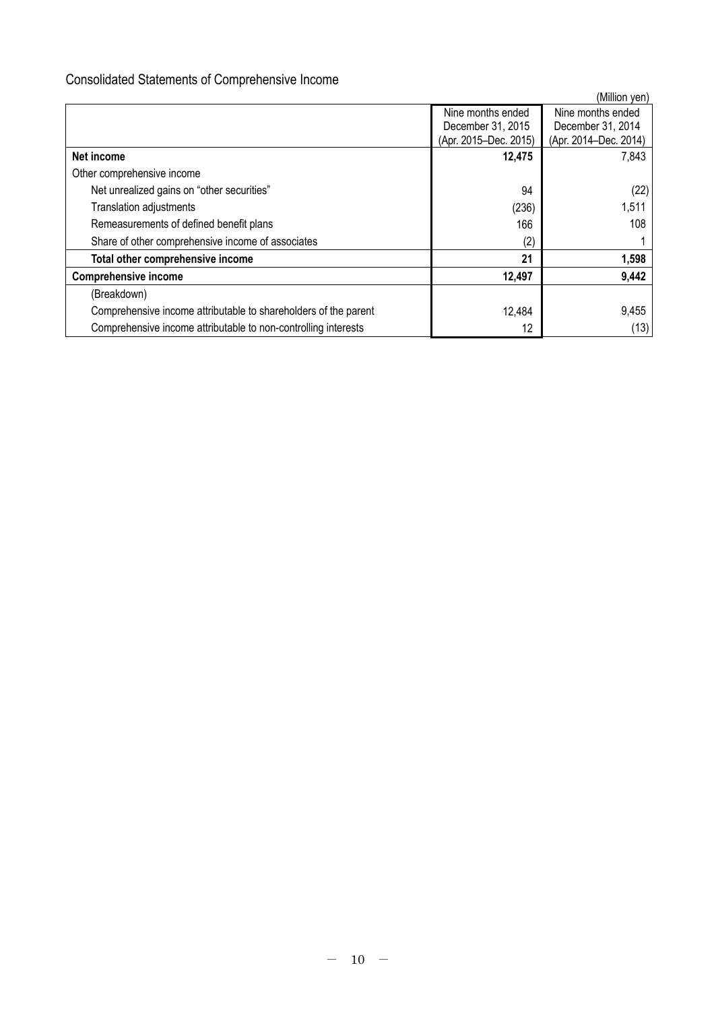# Consolidated Statements of Comprehensive Income

|                                                                 |                       | (Million yen)         |
|-----------------------------------------------------------------|-----------------------|-----------------------|
|                                                                 | Nine months ended     | Nine months ended     |
|                                                                 | December 31, 2015     | December 31, 2014     |
|                                                                 | (Apr. 2015-Dec. 2015) | (Apr. 2014-Dec. 2014) |
| Net income                                                      | 12,475                | 7,843                 |
| Other comprehensive income                                      |                       |                       |
| Net unrealized gains on "other securities"                      | 94                    | (22)                  |
| Translation adjustments                                         | (236)                 | 1,511                 |
| Remeasurements of defined benefit plans                         | 166                   | 108                   |
| Share of other comprehensive income of associates               | (2)                   |                       |
| Total other comprehensive income                                | 21                    | 1,598                 |
| <b>Comprehensive income</b>                                     | 12,497                | 9,442                 |
| (Breakdown)                                                     |                       |                       |
| Comprehensive income attributable to shareholders of the parent | 12,484                | 9,455                 |
| Comprehensive income attributable to non-controlling interests  | 12                    | (13)                  |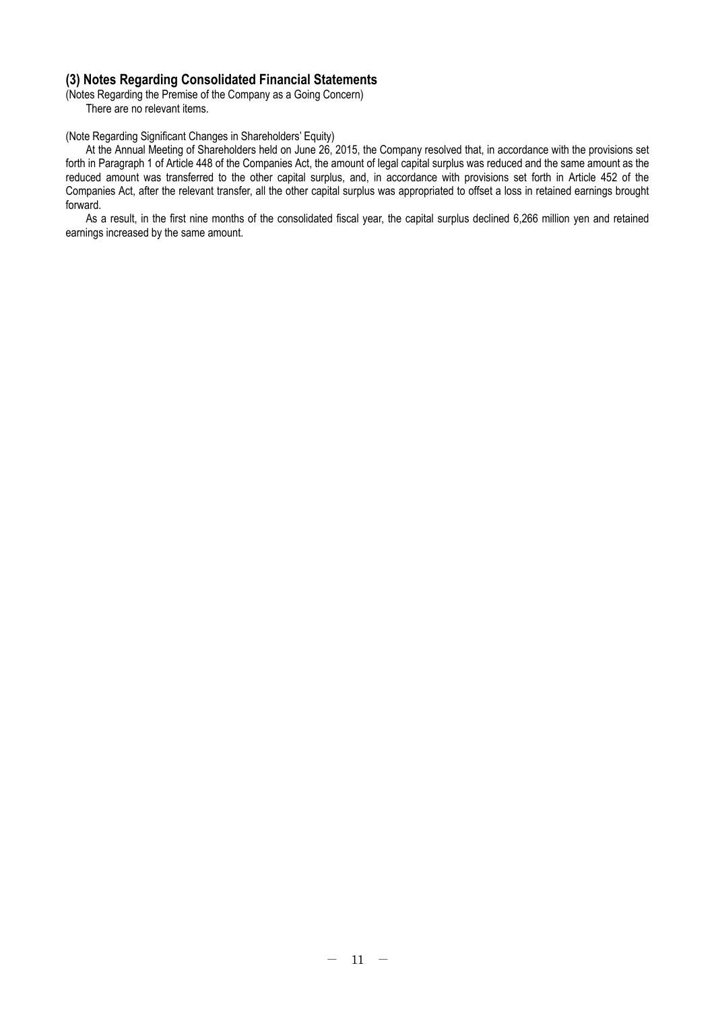# **(3) Notes Regarding Consolidated Financial Statements**

(Notes Regarding the Premise of the Company as a Going Concern)

There are no relevant items.

# (Note Regarding Significant Changes in Shareholders' Equity)

At the Annual Meeting of Shareholders held on June 26, 2015, the Company resolved that, in accordance with the provisions set forth in Paragraph 1 of Article 448 of the Companies Act, the amount of legal capital surplus was reduced and the same amount as the reduced amount was transferred to the other capital surplus, and, in accordance with provisions set forth in Article 452 of the Companies Act, after the relevant transfer, all the other capital surplus was appropriated to offset a loss in retained earnings brought forward.

As a result, in the first nine months of the consolidated fiscal year, the capital surplus declined 6,266 million yen and retained earnings increased by the same amount.